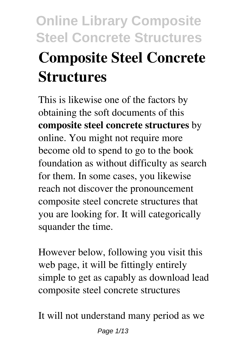# **Online Library Composite Steel Concrete Structures Composite Steel Concrete Structures**

This is likewise one of the factors by obtaining the soft documents of this **composite steel concrete structures** by online. You might not require more become old to spend to go to the book foundation as without difficulty as search for them. In some cases, you likewise reach not discover the pronouncement composite steel concrete structures that you are looking for. It will categorically squander the time.

However below, following you visit this web page, it will be fittingly entirely simple to get as capably as download lead composite steel concrete structures

It will not understand many period as we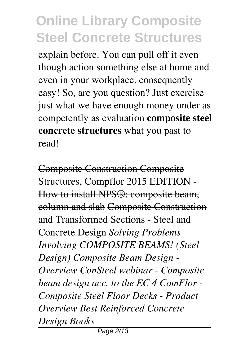explain before. You can pull off it even though action something else at home and even in your workplace. consequently easy! So, are you question? Just exercise just what we have enough money under as competently as evaluation **composite steel concrete structures** what you past to read!

Composite Construction Composite Structures, Compflor 2015 EDITION - How to install NPS®: composite beam, column and slab Composite Construction and Transformed Sections - Steel and Concrete Design *Solving Problems Involving COMPOSITE BEAMS! (Steel Design) Composite Beam Design - Overview ConSteel webinar - Composite beam design acc. to the EC 4 ComFlor - Composite Steel Floor Decks - Product Overview Best Reinforced Concrete Design Books*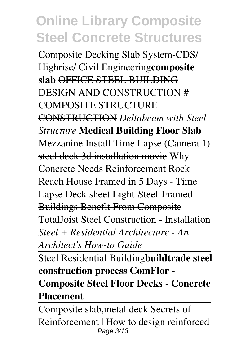Composite Decking Slab System-CDS/ Highrise/ Civil Engineering**composite slab** OFFICE STEEL BUILDING DESIGN AND CONSTRUCTION # COMPOSITE STRUCTURE CONSTRUCTION *Deltabeam with Steel Structure* **Medical Building Floor Slab** Mezzanine Install Time Lapse (Camera 1) steel deck 3d installation movie Why Concrete Needs Reinforcement Rock Reach House Framed in 5 Days - Time Lapse Deck sheet Light-Steel-Framed Buildings Benefit From Composite TotalJoist Steel Construction - Installation *Steel + Residential Architecture - An*

*Architect's How-to Guide*

Steel Residential Building**buildtrade steel construction process ComFlor - Composite Steel Floor Decks - Concrete Placement**

Composite slab,metal deck Secrets of Reinforcement | How to design reinforced Page 3/13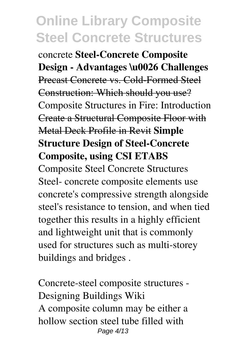concrete **Steel-Concrete Composite Design - Advantages \u0026 Challenges** Precast Concrete vs. Cold-Formed Steel Construction: Which should you use? Composite Structures in Fire: Introduction Create a Structural Composite Floor with Metal Deck Profile in Revit **Simple Structure Design of Steel-Concrete Composite, using CSI ETABS**

Composite Steel Concrete Structures Steel- concrete composite elements use concrete's compressive strength alongside steel's resistance to tension, and when tied together this results in a highly efficient and lightweight unit that is commonly used for structures such as multi-storey buildings and bridges .

Concrete-steel composite structures - Designing Buildings Wiki A composite column may be either a hollow section steel tube filled with Page 4/13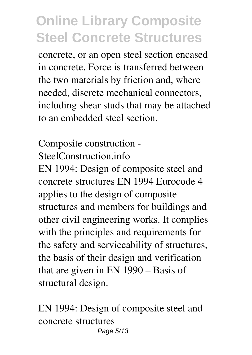concrete, or an open steel section encased in concrete. Force is transferred between the two materials by friction and, where needed, discrete mechanical connectors, including shear studs that may be attached to an embedded steel section.

Composite construction - SteelConstruction.info.

EN 1994: Design of composite steel and concrete structures EN 1994 Eurocode 4 applies to the design of composite structures and members for buildings and other civil engineering works. It complies with the principles and requirements for the safety and serviceability of structures, the basis of their design and verification that are given in EN 1990 – Basis of structural design.

EN 1994: Design of composite steel and concrete structures Page 5/13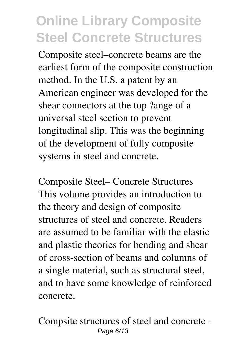Composite steel–concrete beams are the earliest form of the composite construction method. In the U.S. a patent by an American engineer was developed for the shear connectors at the top ?ange of a universal steel section to prevent longitudinal slip. This was the beginning of the development of fully composite systems in steel and concrete.

Composite Steel– Concrete Structures This volume provides an introduction to the theory and design of composite structures of steel and concrete. Readers are assumed to be familiar with the elastic and plastic theories for bending and shear of cross-section of beams and columns of a single material, such as structural steel, and to have some knowledge of reinforced concrete.

Compsite structures of steel and concrete - Page 6/13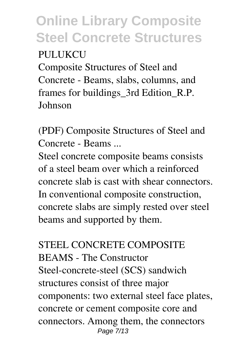#### PULUKCU

Composite Structures of Steel and Concrete - Beams, slabs, columns, and frames for buildings\_3rd Edition\_R.P. Johnson

(PDF) Composite Structures of Steel and Concrete - Beams ...

Steel concrete composite beams consists of a steel beam over which a reinforced concrete slab is cast with shear connectors. In conventional composite construction, concrete slabs are simply rested over steel beams and supported by them.

STEEL CONCRETE COMPOSITE BEAMS - The Constructor Steel-concrete-steel (SCS) sandwich structures consist of three major components: two external steel face plates, concrete or cement composite core and connectors. Among them, the connectors Page 7/13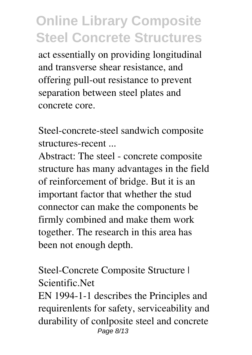act essentially on providing longitudinal and transverse shear resistance, and offering pull-out resistance to prevent separation between steel plates and concrete core.

Steel-concrete-steel sandwich composite structures-recent ...

Abstract: The steel - concrete composite structure has many advantages in the field of reinforcement of bridge. But it is an important factor that whether the stud connector can make the components be firmly combined and make them work together. The research in this area has been not enough depth.

Steel-Concrete Composite Structure | Scientific.Net

EN 1994-1-1 describes the Principles and requirenlents for safety, serviceability and durability of conlposite steel and concrete Page 8/13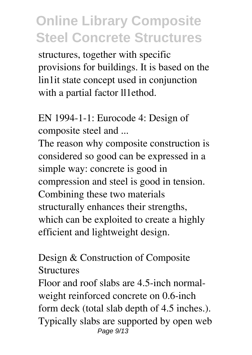structures, together with specific provisions for buildings. It is based on the lin1it state concept used in conjunction with a partial factor ll1ethod.

EN 1994-1-1: Eurocode 4: Design of composite steel and ...

The reason why composite construction is considered so good can be expressed in a simple way: concrete is good in compression and steel is good in tension. Combining these two materials structurally enhances their strengths, which can be exploited to create a highly efficient and lightweight design.

Design & Construction of Composite **Structures** 

Floor and roof slabs are 4.5-inch normalweight reinforced concrete on 0.6-inch form deck (total slab depth of 4.5 inches.). Typically slabs are supported by open web Page 9/13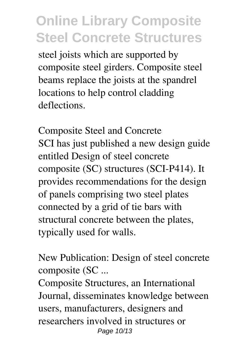steel joists which are supported by composite steel girders. Composite steel beams replace the joists at the spandrel locations to help control cladding deflections.

Composite Steel and Concrete SCI has just published a new design guide entitled Design of steel concrete composite (SC) structures (SCI-P414). It provides recommendations for the design of panels comprising two steel plates connected by a grid of tie bars with structural concrete between the plates, typically used for walls.

New Publication: Design of steel concrete composite (SC ...

Composite Structures, an International Journal, disseminates knowledge between users, manufacturers, designers and researchers involved in structures or Page 10/13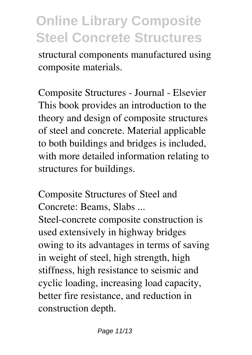structural components manufactured using composite materials.

Composite Structures - Journal - Elsevier This book provides an introduction to the theory and design of composite structures of steel and concrete. Material applicable to both buildings and bridges is included, with more detailed information relating to structures for buildings.

Composite Structures of Steel and Concrete: Beams, Slabs ... Steel-concrete composite construction is used extensively in highway bridges owing to its advantages in terms of saving in weight of steel, high strength, high stiffness, high resistance to seismic and cyclic loading, increasing load capacity, better fire resistance, and reduction in construction depth.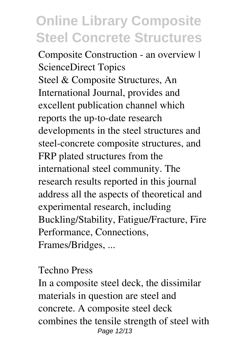Composite Construction - an overview | ScienceDirect Topics Steel & Composite Structures, An International Journal, provides and excellent publication channel which reports the up-to-date research developments in the steel structures and steel-concrete composite structures, and FRP plated structures from the international steel community. The research results reported in this journal address all the aspects of theoretical and experimental research, including Buckling/Stability, Fatigue/Fracture, Fire Performance, Connections, Frames/Bridges, ...

Techno Press

In a composite steel deck, the dissimilar materials in question are steel and concrete. A composite steel deck combines the tensile strength of steel with Page 12/13